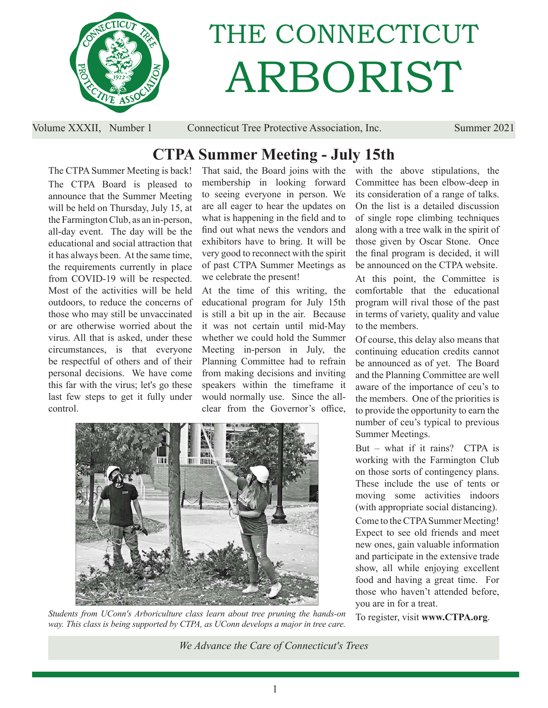

# THE CONNECTICUT ARBORIST

Volume XXXII, Number 1 Connecticut Tree Protective Association, Inc. Summer 2021

## **CTPA Summer Meeting - July 15th**

The CTPA Summer Meeting is back! The CTPA Board is pleased to announce that the Summer Meeting will be held on Thursday, July 15, at the Farmington Club, as an in-person, all-day event. The day will be the educational and social attraction that it has always been. At the same time, the requirements currently in place from COVID-19 will be respected. Most of the activities will be held outdoors, to reduce the concerns of those who may still be unvaccinated or are otherwise worried about the virus. All that is asked, under these circumstances, is that everyone be respectful of others and of their personal decisions. We have come this far with the virus; let's go these last few steps to get it fully under control.

That said, the Board joins with the membership in looking forward to seeing everyone in person. We are all eager to hear the updates on what is happening in the field and to find out what news the vendors and exhibitors have to bring. It will be very good to reconnect with the spirit of past CTPA Summer Meetings as we celebrate the present!

At the time of this writing, the educational program for July 15th is still a bit up in the air. Because it was not certain until mid-May whether we could hold the Summer Meeting in-person in July, the Planning Committee had to refrain from making decisions and inviting speakers within the timeframe it would normally use. Since the allclear from the Governor's office,



*Students from UConn's Arboriculture class learn about tree pruning the hands-on way. This class is being supported by CTPA, as UConn develops a major in tree care.*

with the above stipulations, the Committee has been elbow-deep in its consideration of a range of talks. On the list is a detailed discussion of single rope climbing techniques along with a tree walk in the spirit of those given by Oscar Stone. Once the final program is decided, it will be announced on the CTPA website.

At this point, the Committee is comfortable that the educational program will rival those of the past in terms of variety, quality and value to the members.

Of course, this delay also means that continuing education credits cannot be announced as of yet. The Board and the Planning Committee are well aware of the importance of ceu's to the members. One of the priorities is to provide the opportunity to earn the number of ceu's typical to previous Summer Meetings.

But – what if it rains? CTPA is working with the Farmington Club on those sorts of contingency plans. These include the use of tents or moving some activities indoors (with appropriate social distancing).

Come to the CTPA Summer Meeting! Expect to see old friends and meet new ones, gain valuable information and participate in the extensive trade show, all while enjoying excellent food and having a great time. For those who haven't attended before, you are in for a treat.

To register, visit **www.CTPA.org**.

*We Advance the Care of Connecticut's Trees*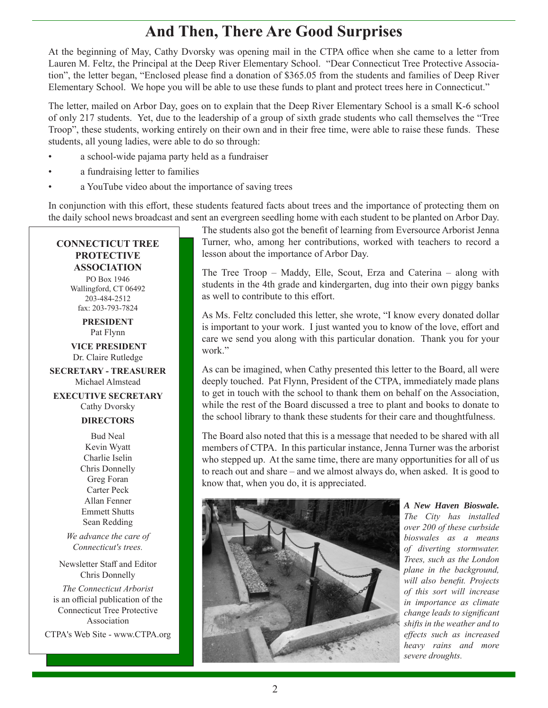## **And Then, There Are Good Surprises**

At the beginning of May, Cathy Dvorsky was opening mail in the CTPA office when she came to a letter from Lauren M. Feltz, the Principal at the Deep River Elementary School. "Dear Connecticut Tree Protective Association", the letter began, "Enclosed please find a donation of \$365.05 from the students and families of Deep River Elementary School. We hope you will be able to use these funds to plant and protect trees here in Connecticut."

The letter, mailed on Arbor Day, goes on to explain that the Deep River Elementary School is a small K-6 school of only 217 students. Yet, due to the leadership of a group of sixth grade students who call themselves the "Tree Troop", these students, working entirely on their own and in their free time, were able to raise these funds. These students, all young ladies, were able to do so through:

- a school-wide pajama party held as a fundraiser
- a fundraising letter to families
- a YouTube video about the importance of saving trees

In conjunction with this effort, these students featured facts about trees and the importance of protecting them on the daily school news broadcast and sent an evergreen seedling home with each student to be planted on Arbor Day.

#### **CONNECTICUT TREE PROTECTIVE ASSOCIATION**

PO Box 1946 Wallingford, CT 06492 203-484-2512 fax: 203-793-7824

> **PRESIDENT** Pat Flynn

 **VICE PRESIDENT** Dr. Claire Rutledge

**SECRETARY - TREASURER** Michael Almstead

**EXECUTIVE SECRETARY** Cathy Dvorsky

#### **DIRECTORS**

Bud Neal Kevin Wyatt Charlie Iselin Chris Donnelly Greg Foran Carter Peck Allan Fenner Emmett Shutts Sean Redding

*We advance the care of Connecticut's trees.*

Newsletter Staff and Editor Chris Donnelly

*The Connecticut Arborist* is an official publication of the Connecticut Tree Protective Association

CTPA's Web Site - www.CTPA.org

The students also got the benefit of learning from Eversource Arborist Jenna Turner, who, among her contributions, worked with teachers to record a lesson about the importance of Arbor Day.

The Tree Troop – Maddy, Elle, Scout, Erza and Caterina – along with students in the 4th grade and kindergarten, dug into their own piggy banks as well to contribute to this effort.

As Ms. Feltz concluded this letter, she wrote, "I know every donated dollar is important to your work. I just wanted you to know of the love, effort and care we send you along with this particular donation. Thank you for your work."

As can be imagined, when Cathy presented this letter to the Board, all were deeply touched. Pat Flynn, President of the CTPA, immediately made plans to get in touch with the school to thank them on behalf on the Association, while the rest of the Board discussed a tree to plant and books to donate to the school library to thank these students for their care and thoughtfulness.

The Board also noted that this is a message that needed to be shared with all members of CTPA. In this particular instance, Jenna Turner was the arborist who stepped up. At the same time, there are many opportunities for all of us to reach out and share – and we almost always do, when asked. It is good to know that, when you do, it is appreciated.



*A New Haven Bioswale. The City has installed over 200 of these curbside bioswales as a means of diverting stormwater. Trees, such as the London plane in the background, will also benefit. Projects of this sort will increase in importance as climate change leads to significant shifts in the weather and to eff ects such as increased heavy rains and more severe droughts.*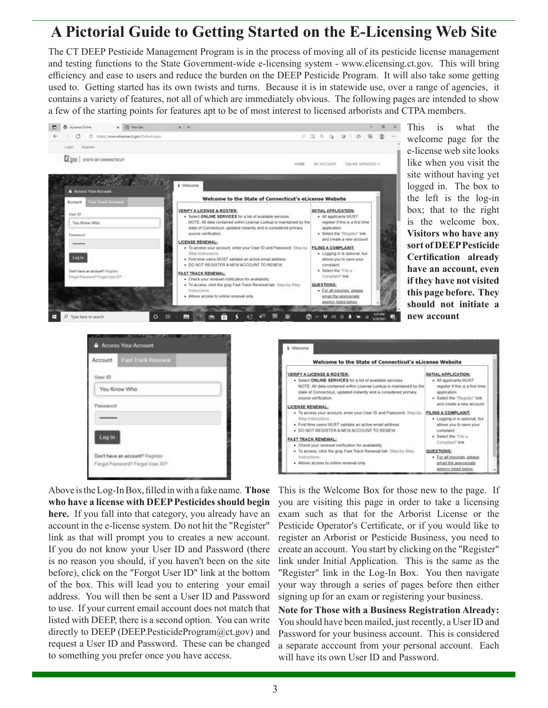## **A Pictorial Guide to Getting Started on the E-Licensing Web Site**

The CT DEEP Pesticide Management Program is in the process of moving all of its pesticide license management and testing functions to the State Government-wide e-licensing system - www.elicensing.ct.gov. This will bring efficiency and ease to users and reduce the burden on the DEEP Pesticide Program. It will also take some getting used to. Getting started has its own twists and turns. Because it is in statewide use, over a range of agencies, it contains a variety of features, not all of which are immediately obvious. The following pages are intended to show a few of the starting points for features apt to be of most interest to licensed arborists and CTPA members.



This is what the welcome page for the e-license web site looks like when you visit the site without having yet logged in. The box to the left is the log-in box; that to the right is the welcome box. **Visitors who have any sort of DEEP Pesticide Certification already have an account, even if they have not visited this page before. They should not initiate a new account**





Above is the Log-In Box, fi lled in with a fake name. **Those who have a license with DEEP Pesticides should begin here.** If you fall into that category, you already have an account in the e-license system. Do not hit the "Register" link as that will prompt you to creates a new account. If you do not know your User ID and Password (there is no reason you should, if you haven't been on the site before), click on the "Forgot User ID" link at the bottom of the box. This will lead you to entering your email address. You will then be sent a User ID and Password to use. If your current email account does not match that listed with DEEP, there is a second option. You can write directly to DEEP (DEEP.PesticideProgram@ct.gov) and request a User ID and Password. These can be changed to something you prefer once you have access.

This is the Welcome Box for those new to the page. If you are visiting this page in order to take a licensing exam such as that for the Arborist License or the Pesticide Operator's Certificate, or if you would like to register an Arborist or Pesticide Business, you need to create an account. You start by clicking on the "Register" link under Initial Application. This is the same as the "Register" link in the Log-In Box. You then navigate your way through a series of pages before then either signing up for an exam or registering your business.

**Note for Those with a Business Registration Already:** You should have been mailed, just recently, a User ID and Password for your business account. This is considered a separate acccount from your personal account. Each will have its own User ID and Password.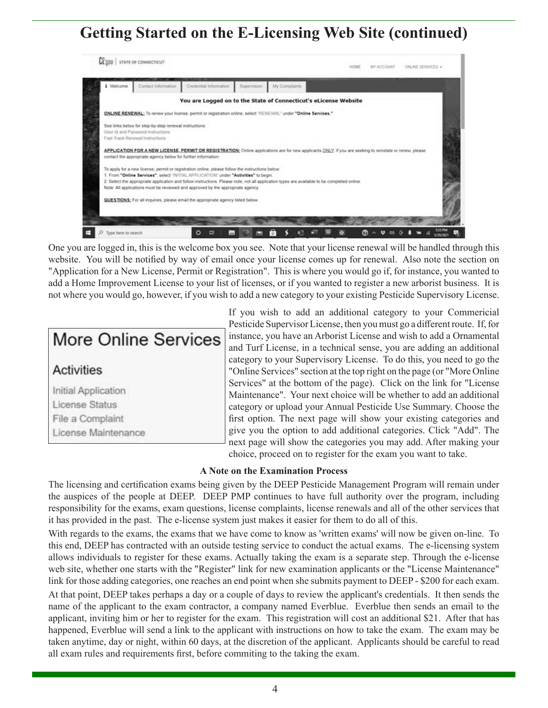## **Getting Started on the E-Licensing Web Site (continued)**



One you are logged in, this is the welcome box you see. Note that your license renewal will be handled through this website. You will be notified by way of email once your license comes up for renewal. Also note the section on "Application for a New License, Permit or Registration". This is where you would go if, for instance, you wanted to add a Home Improvement License to your list of licenses, or if you wanted to register a new arborist business. It is not where you would go, however, if you wish to add a new category to your existing Pesticide Supervisory License.



If you wish to add an additional category to your Commericial Pesticide Supervisor License, then you must go a different route. If, for instance, you have an Arborist License and wish to add a Ornamental and Turf License, in a technical sense, you are adding an additional category to your Supervisory License. To do this, you need to go the "Online Services" section at the top right on the page (or "More Online Services" at the bottom of the page). Click on the link for "License Maintenance". Your next choice will be whether to add an additional category or upload your Annual Pesticide Use Summary. Choose the first option. The next page will show your existing categories and give you the option to add additional categories. Click "Add". The next page will show the categories you may add. After making your choice, proceed on to register for the exam you want to take.

#### **A Note on the Examination Process**

The licensing and certification exams being given by the DEEP Pesticide Management Program will remain under the auspices of the people at DEEP. DEEP PMP continues to have full authority over the program, including responsibility for the exams, exam questions, license complaints, license renewals and all of the other services that it has provided in the past. The e-license system just makes it easier for them to do all of this.

With regards to the exams, the exams that we have come to know as 'written exams' will now be given on-line. To this end, DEEP has contracted with an outside testing service to conduct the actual exams. The e-licensing system allows individuals to register for these exams. Actually taking the exam is a separate step. Through the e-license web site, whether one starts with the "Register" link for new examination applicants or the "License Maintenance" link for those adding categories, one reaches an end point when she submits payment to DEEP - \$200 for each exam.

At that point, DEEP takes perhaps a day or a couple of days to review the applicant's credentials. It then sends the name of the applicant to the exam contractor, a company named Everblue. Everblue then sends an email to the applicant, inviting him or her to register for the exam. This registration will cost an additional \$21. After that has happened, Everblue will send a link to the applicant with instructions on how to take the exam. The exam may be taken anytime, day or night, within 60 days, at the discretion of the applicant. Applicants should be careful to read all exam rules and requirements first, before commiting to the taking the exam.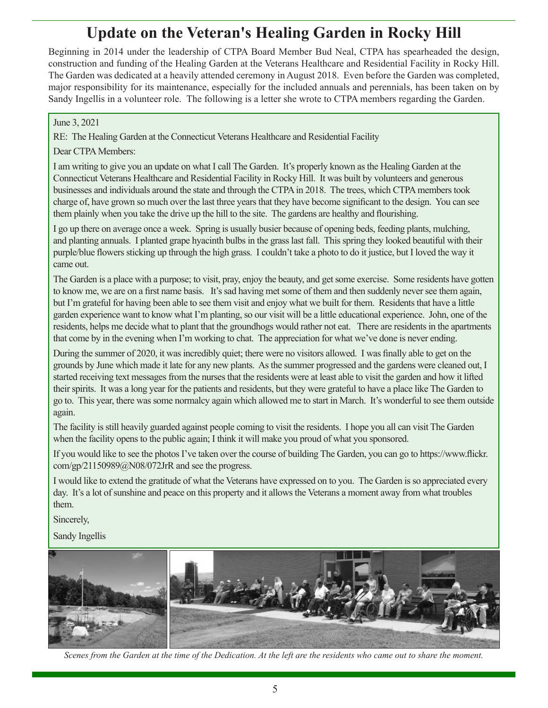## **Update on the Veteran's Healing Garden in Rocky Hill**

Beginning in 2014 under the leadership of CTPA Board Member Bud Neal, CTPA has spearheaded the design, construction and funding of the Healing Garden at the Veterans Healthcare and Residential Facility in Rocky Hill. The Garden was dedicated at a heavily attended ceremony in August 2018. Even before the Garden was completed, major responsibility for its maintenance, especially for the included annuals and perennials, has been taken on by Sandy Ingellis in a volunteer role. The following is a letter she wrote to CTPA members regarding the Garden.

#### June 3, 2021

RE: The Healing Garden at the Connecticut Veterans Healthcare and Residential Facility

#### Dear CTPA Members:

I am writing to give you an update on what I call The Garden. It's properly known as the Healing Garden at the Connecticut Veterans Healthcare and Residential Facility in Rocky Hill. It was built by volunteers and generous businesses and individuals around the state and through the CTPA in 2018. The trees, which CTPA members took charge of, have grown so much over the last three years that they have become significant to the design. You can see them plainly when you take the drive up the hill to the site. The gardens are healthy and flourishing.

I go up there on average once a week. Spring is usually busier because of opening beds, feeding plants, mulching, and planting annuals. I planted grape hyacinth bulbs in the grass last fall. This spring they looked beautiful with their purple/blue flowers sticking up through the high grass. I couldn't take a photo to do it justice, but I loved the way it came out.

The Garden is a place with a purpose; to visit, pray, enjoy the beauty, and get some exercise. Some residents have gotten to know me, we are on a first name basis. It's sad having met some of them and then suddenly never see them again, but I'm grateful for having been able to see them visit and enjoy what we built for them. Residents that have a little garden experience want to know what I'm planting, so our visit will be a little educational experience. John, one of the residents, helps me decide what to plant that the groundhogs would rather not eat. There are residents in the apartments that come by in the evening when I'm working to chat. The appreciation for what we've done is never ending.

During the summer of 2020, it was incredibly quiet; there were no visitors allowed. I was finally able to get on the grounds by June which made it late for any new plants. As the summer progressed and the gardens were cleaned out, I started receiving text messages from the nurses that the residents were at least able to visit the garden and how it lifted their spirits. It was a long year for the patients and residents, but they were grateful to have a place like The Garden to go to. This year, there was some normalcy again which allowed me to start in March. It's wonderful to see them outside again.

The facility is still heavily guarded against people coming to visit the residents. I hope you all can visit The Garden when the facility opens to the public again; I think it will make you proud of what you sponsored.

If you would like to see the photos I've taken over the course of building The Garden, you can go to https://www.flickr. com/gp/21150989@N08/072JrR and see the progress.

I would like to extend the gratitude of what the Veterans have expressed on to you. The Garden is so appreciated every day. It's a lot of sunshine and peace on this property and it allows the Veterans a moment away from what troubles them.

Sincerely,

Sandy Ingellis



*Scenes from the Garden at the time of the Dedication. At the left are the residents who came out to share the moment.*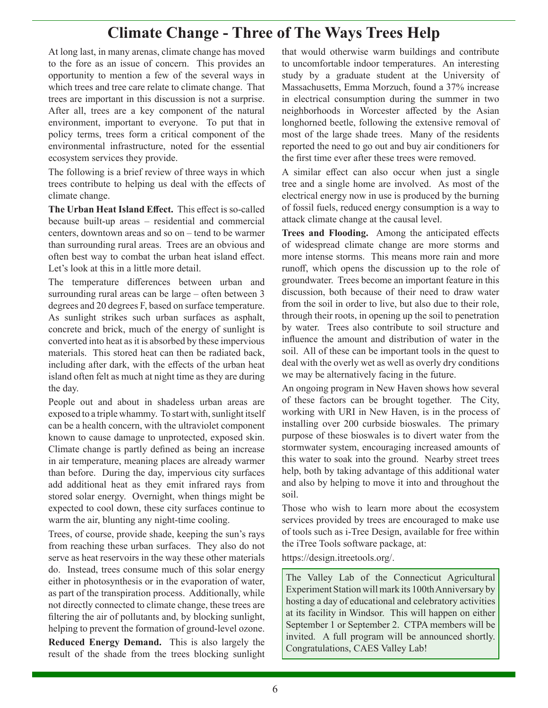## **Climate Change - Three of The Ways Trees Help**

At long last, in many arenas, climate change has moved to the fore as an issue of concern. This provides an opportunity to mention a few of the several ways in which trees and tree care relate to climate change. That trees are important in this discussion is not a surprise. After all, trees are a key component of the natural environment, important to everyone. To put that in policy terms, trees form a critical component of the environmental infrastructure, noted for the essential ecosystem services they provide.

The following is a brief review of three ways in which trees contribute to helping us deal with the effects of climate change.

**The Urban Heat Island Effect.** This effect is so-called because built-up areas – residential and commercial centers, downtown areas and so on – tend to be warmer than surrounding rural areas. Trees are an obvious and often best way to combat the urban heat island effect. Let's look at this in a little more detail.

The temperature differences between urban and surrounding rural areas can be large – often between 3 degrees and 20 degrees F, based on surface temperature. As sunlight strikes such urban surfaces as asphalt, concrete and brick, much of the energy of sunlight is converted into heat as it is absorbed by these impervious materials. This stored heat can then be radiated back, including after dark, with the effects of the urban heat island often felt as much at night time as they are during the day.

People out and about in shadeless urban areas are exposed to a triple whammy. To start with, sunlight itself can be a health concern, with the ultraviolet component known to cause damage to unprotected, exposed skin. Climate change is partly defined as being an increase in air temperature, meaning places are already warmer than before. During the day, impervious city surfaces add additional heat as they emit infrared rays from stored solar energy. Overnight, when things might be expected to cool down, these city surfaces continue to warm the air, blunting any night-time cooling.

Trees, of course, provide shade, keeping the sun's rays from reaching these urban surfaces. They also do not serve as heat reservoirs in the way these other materials do. Instead, trees consume much of this solar energy either in photosynthesis or in the evaporation of water, as part of the transpiration process. Additionally, while not directly connected to climate change, these trees are filtering the air of pollutants and, by blocking sunlight, helping to prevent the formation of ground-level ozone.

**Reduced Energy Demand.** This is also largely the result of the shade from the trees blocking sunlight that would otherwise warm buildings and contribute to uncomfortable indoor temperatures. An interesting study by a graduate student at the University of Massachusetts, Emma Morzuch, found a 37% increase in electrical consumption during the summer in two neighborhoods in Worcester affected by the Asian longhorned beetle, following the extensive removal of most of the large shade trees. Many of the residents reported the need to go out and buy air conditioners for the first time ever after these trees were removed.

A similar effect can also occur when just a single tree and a single home are involved. As most of the electrical energy now in use is produced by the burning of fossil fuels, reduced energy consumption is a way to attack climate change at the causal level.

Trees and Flooding. Among the anticipated effects of widespread climate change are more storms and more intense storms. This means more rain and more runoff, which opens the discussion up to the role of groundwater. Trees become an important feature in this discussion, both because of their need to draw water from the soil in order to live, but also due to their role, through their roots, in opening up the soil to penetration by water. Trees also contribute to soil structure and influence the amount and distribution of water in the soil. All of these can be important tools in the quest to deal with the overly wet as well as overly dry conditions we may be alternatively facing in the future.

An ongoing program in New Haven shows how several of these factors can be brought together. The City, working with URI in New Haven, is in the process of installing over 200 curbside bioswales. The primary purpose of these bioswales is to divert water from the stormwater system, encouraging increased amounts of this water to soak into the ground. Nearby street trees help, both by taking advantage of this additional water and also by helping to move it into and throughout the soil.

Those who wish to learn more about the ecosystem services provided by trees are encouraged to make use of tools such as i-Tree Design, available for free within the iTree Tools software package, at:

https://design.itreetools.org/.

The Valley Lab of the Connecticut Agricultural Experiment Station will mark its 100th Anniversary by hosting a day of educational and celebratory activities at its facility in Windsor. This will happen on either September 1 or September 2. CTPA members will be invited. A full program will be announced shortly. Congratulations, CAES Valley Lab!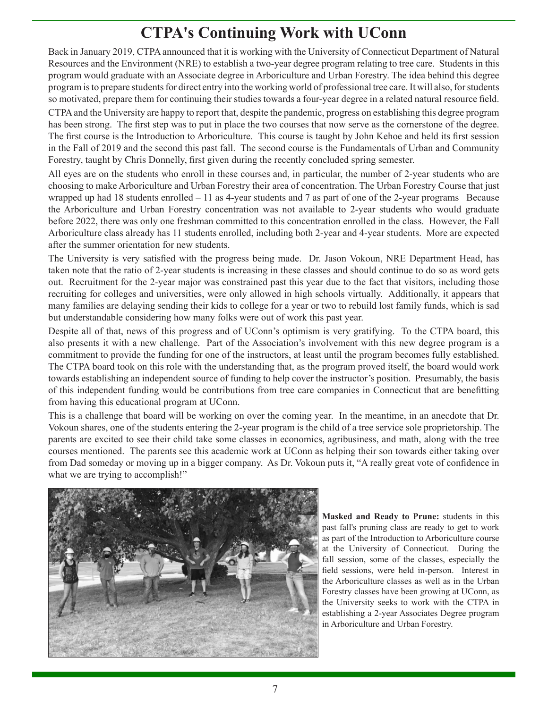## **CTPA's Continuing Work with UConn**

Back in January 2019, CTPA announced that it is working with the University of Connecticut Department of Natural Resources and the Environment (NRE) to establish a two-year degree program relating to tree care. Students in this program would graduate with an Associate degree in Arboriculture and Urban Forestry. The idea behind this degree program is to prepare students for direct entry into the working world of professional tree care. It will also, for students so motivated, prepare them for continuing their studies towards a four-year degree in a related natural resource field.

CTPA and the University are happy to report that, despite the pandemic, progress on establishing this degree program has been strong. The first step was to put in place the two courses that now serve as the cornerstone of the degree. The first course is the Introduction to Arboriculture. This course is taught by John Kehoe and held its first session in the Fall of 2019 and the second this past fall. The second course is the Fundamentals of Urban and Community Forestry, taught by Chris Donnelly, first given during the recently concluded spring semester.

All eyes are on the students who enroll in these courses and, in particular, the number of 2-year students who are choosing to make Arboriculture and Urban Forestry their area of concentration. The Urban Forestry Course that just wrapped up had 18 students enrolled  $-11$  as 4-year students and 7 as part of one of the 2-year programs Because the Arboriculture and Urban Forestry concentration was not available to 2-year students who would graduate before 2022, there was only one freshman committed to this concentration enrolled in the class. However, the Fall Arboriculture class already has 11 students enrolled, including both 2-year and 4-year students. More are expected after the summer orientation for new students.

The University is very satisfied with the progress being made. Dr. Jason Vokoun, NRE Department Head, has taken note that the ratio of 2-year students is increasing in these classes and should continue to do so as word gets out. Recruitment for the 2-year major was constrained past this year due to the fact that visitors, including those recruiting for colleges and universities, were only allowed in high schools virtually. Additionally, it appears that many families are delaying sending their kids to college for a year or two to rebuild lost family funds, which is sad but understandable considering how many folks were out of work this past year.

Despite all of that, news of this progress and of UConn's optimism is very gratifying. To the CTPA board, this also presents it with a new challenge. Part of the Association's involvement with this new degree program is a commitment to provide the funding for one of the instructors, at least until the program becomes fully established. The CTPA board took on this role with the understanding that, as the program proved itself, the board would work towards establishing an independent source of funding to help cover the instructor's position. Presumably, the basis of this independent funding would be contributions from tree care companies in Connecticut that are benefitting from having this educational program at UConn.

This is a challenge that board will be working on over the coming year. In the meantime, in an anecdote that Dr. Vokoun shares, one of the students entering the 2-year program is the child of a tree service sole proprietorship. The parents are excited to see their child take some classes in economics, agribusiness, and math, along with the tree courses mentioned. The parents see this academic work at UConn as helping their son towards either taking over from Dad someday or moving up in a bigger company. As Dr. Vokoun puts it, "A really great vote of confidence in what we are trying to accomplish!"



**Masked and Ready to Prune:** students in this past fall's pruning class are ready to get to work as part of the Introduction to Arboriculture course at the University of Connecticut. During the fall session, some of the classes, especially the field sessions, were held in-person. Interest in the Arboriculture classes as well as in the Urban Forestry classes have been growing at UConn, as the University seeks to work with the CTPA in establishing a 2-year Associates Degree program in Arboriculture and Urban Forestry.